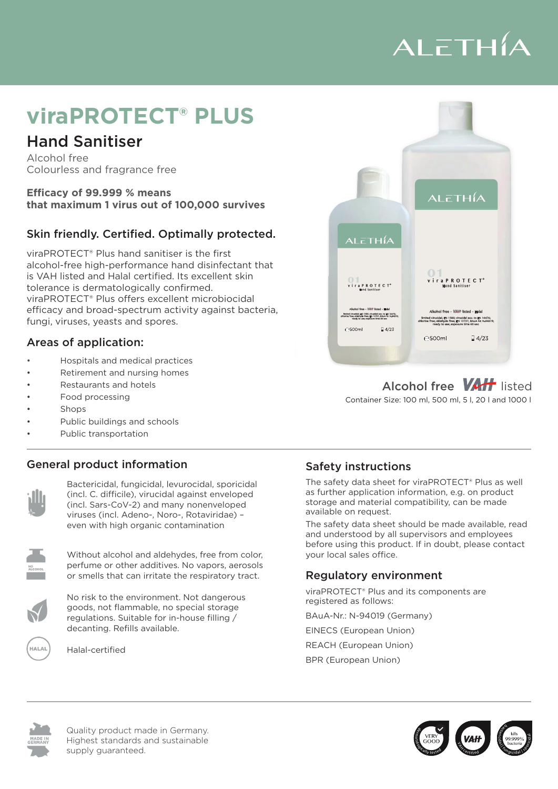# ALETHÍA

## **viraPROTECT® PLUS**

### Hand Sanitiser

Alcohol free Colourless and fragrance free

**Efficacy of 99.999 % means that maximum 1 virus out of 100,000 survives**

#### Skin friendly. Certified. Optimally protected.

viraPROTECT® PLUS viraPROTECT® Plus offers excellent microbiocidal emeacy and broad-spectrum act<br>fungi, viruses, yeasts and spores. viraPROTECT® Plus hand sanitiser is the first alcohol-free high-performance hand disinfectant that is VAH listed and Halal certified. Its excellent skin tolerance is dermatologically confirmed. viral NOTECT Thas oners executive interespectival

### Areas of application:

- Hospitals and medical practices
- Retirement and nursing homes
- Restaurants and hotels
- Food processing
- Shops
- Public buildings and schools
- Public transportation of Alexanders haute and Duftstoffe.<br>• Public transportation

#### Mit breitem Wirkungsspektrum gegen Bakterien, Pilze, Hefen, Sporen und Viren, einschließlich Sars-CoV-2. Allgemeine Produktinformationen General product information example and safety instruction of the Safety instruction of the Safety instruction



viruses (incl. Adeno-, Noro-, Rotaviridae) – http://www.available.on.request. even with high organic contamination The safe<br>And und Bactericidal, fungicidal, levurocidal, sporicidal (incl. C. difficile), virucidal against enveloped (incl. Sars-CoV-2) and many nonenveloped

Handdesinfektion ohne Alkohol, Farb- und Duftstoffe. Besonders hautfreundlich und schonend.

Handdesinfektion ohne Alkohol, Farb- und Duftstoffe. Besonders hautfreundlich und schonend.

Mit breitem Wirkungsspektrum gegen Bakterien, Pilze, Hefen, Sporen und Viren, einschließlich Sars-CoV-2.

höchste Standards und kurze Lieferwege für eine ökologische, nachhaltige Versorgung

höchste Standards und kurze Lieferwege für eine ökologische, nachhaltige Versorgung



perfume or other additives. No vapors, aerosols or smells that can irritate the respiratory tract. Without alcohol and aldehydes, free from color, entity our local sales office.

equiations. Suitable for in-house filling / BAuA-Nr.: N-94019 (Germany) decanting. Refills available. registered as follows:<br>goods, not flammable, no special storage regulations. Suitable for in-house filling / No risk to the environment. Not dangerous



Halal-certified



#### Alcohol free **VAH** listed Container Size: 100 ml, 500 ml, 5 l, 20 l and 1000 l

#### Safety instructions

ncl. Sars-CoV-2) and many nonenveloped storage and material compatibility, can be made The safety data sheet for viraPROTECT® Plus as well as further application information, e.g. on product available on request.

> The safety data sheet should be made available, read and understood by all supervisors and employees before using this product. If in doubt, please contact your local sales office.

#### Regulatory environment

viraPROTECT® Plus and its components are registered as follows:

EINECS (European Union)

REACH (European Union)

BPR (European Union)



Quality product made in Germany. Highest standards and sustainable supply guaranteed.